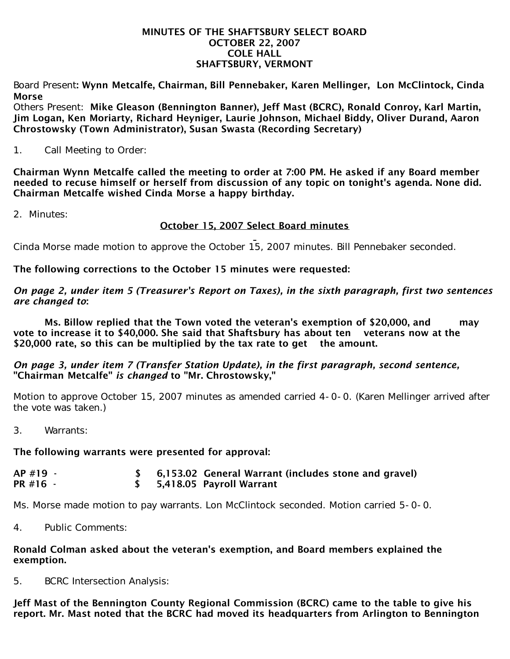#### MINUTES OF THE SHAFTSBURY SELECT BOARD OCTOBER 22, 2007 COLE HALL SHAFTSBURY, VERMONT

Board Present: Wynn Metcalfe, Chairman, Bill Pennebaker, Karen Mellinger, Lon McClintock, Cinda Morse

Others Present: Mike Gleason (Bennington Banner), Jeff Mast (BCRC), Ronald Conroy, Karl Martin, Jim Logan, Ken Moriarty, Richard Heyniger, Laurie Johnson, Michael Biddy, Oliver Durand, Aaron Chrostowsky (Town Administrator), Susan Swasta (Recording Secretary)

1. Call Meeting to Order:

Chairman Wynn Metcalfe called the meeting to order at 7:00 PM. He asked if any Board member needed to recuse himself or herself from discussion of any topic on tonight's agenda. None did. Chairman Metcalfe wished Cinda Morse a happy birthday.

2. Minutes:

# October 15, 2007 Select Board minutes

Cinda Morse made motion to approve the October 15, 2007 minutes. Bill Pennebaker seconded.

The following corrections to the October 15 minutes were requested:

### *On page 2, under item 5 (Treasurer's Report on Taxes), in the sixth paragraph, first two sentences are changed to*:

 Ms. Billow replied that the Town voted the veteran's exemption of \$20,000, and may vote to increase it to \$40,000. She said that Shaftsbury has about ten veterans now at the \$20,000 rate, so this can be multiplied by the tax rate to get the amount.

### *On page 3, under item 7 (Transfer Station Update), in the first paragraph, second sentence,* "Chairman Metcalfe" *is changed* to "Mr. Chrostowsky,"

Motion to approve October 15, 2007 minutes as amended carried 4-0-0. (Karen Mellinger arrived after the vote was taken.)

3. Warrants:

# The following warrants were presented for approval:

| $AP$ #19 - | \$ 6,153.02 General Warrant (includes stone and gravel) |
|------------|---------------------------------------------------------|
| PR #16 -   | \$ 5,418.05 Payroll Warrant                             |

Ms. Morse made motion to pay warrants. Lon McClintock seconded. Motion carried 5-0-0.

4. Public Comments:

#### Ronald Colman asked about the veteran's exemption, and Board members explained the exemption.

5. BCRC Intersection Analysis:

Jeff Mast of the Bennington County Regional Commission (BCRC) came to the table to give his report. Mr. Mast noted that the BCRC had moved its headquarters from Arlington to Bennington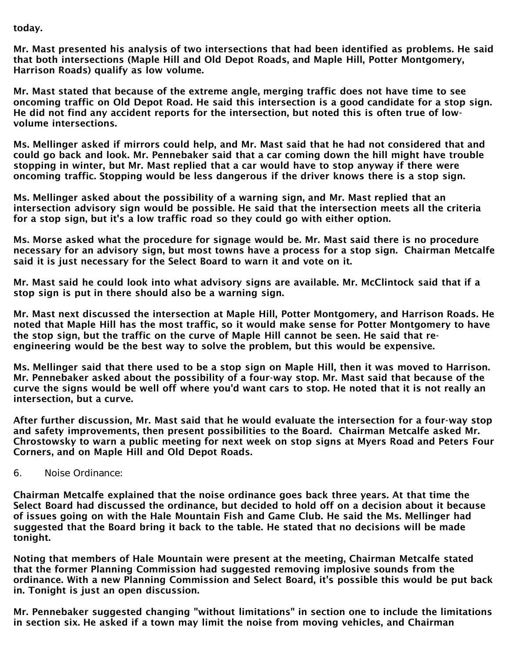### today.

Mr. Mast presented his analysis of two intersections that had been identified as problems. He said that both intersections (Maple Hill and Old Depot Roads, and Maple Hill, Potter Montgomery, Harrison Roads) qualify as low volume.

Mr. Mast stated that because of the extreme angle, merging traffic does not have time to see oncoming traffic on Old Depot Road. He said this intersection is a good candidate for a stop sign. He did not find any accident reports for the intersection, but noted this is often true of lowvolume intersections.

Ms. Mellinger asked if mirrors could help, and Mr. Mast said that he had not considered that and could go back and look. Mr. Pennebaker said that a car coming down the hill might have trouble stopping in winter, but Mr. Mast replied that a car would have to stop anyway if there were oncoming traffic. Stopping would be less dangerous if the driver knows there is a stop sign.

Ms. Mellinger asked about the possibility of a warning sign, and Mr. Mast replied that an intersection advisory sign would be possible. He said that the intersection meets all the criteria for a stop sign, but it's a low traffic road so they could go with either option.

Ms. Morse asked what the procedure for signage would be. Mr. Mast said there is no procedure necessary for an advisory sign, but most towns have a process for a stop sign. Chairman Metcalfe said it is just necessary for the Select Board to warn it and vote on it.

Mr. Mast said he could look into what advisory signs are available. Mr. McClintock said that if a stop sign is put in there should also be a warning sign.

Mr. Mast next discussed the intersection at Maple Hill, Potter Montgomery, and Harrison Roads. He noted that Maple Hill has the most traffic, so it would make sense for Potter Montgomery to have the stop sign, but the traffic on the curve of Maple Hill cannot be seen. He said that reengineering would be the best way to solve the problem, but this would be expensive.

Ms. Mellinger said that there used to be a stop sign on Maple Hill, then it was moved to Harrison. Mr. Pennebaker asked about the possibility of a four-way stop. Mr. Mast said that because of the curve the signs would be well off where you'd want cars to stop. He noted that it is not really an intersection, but a curve.

After further discussion, Mr. Mast said that he would evaluate the intersection for a four-way stop and safety improvements, then present possibilities to the Board. Chairman Metcalfe asked Mr. Chrostowsky to warn a public meeting for next week on stop signs at Myers Road and Peters Four Corners, and on Maple Hill and Old Depot Roads.

6. Noise Ordinance:

Chairman Metcalfe explained that the noise ordinance goes back three years. At that time the Select Board had discussed the ordinance, but decided to hold off on a decision about it because of issues going on with the Hale Mountain Fish and Game Club. He said the Ms. Mellinger had suggested that the Board bring it back to the table. He stated that no decisions will be made tonight.

Noting that members of Hale Mountain were present at the meeting, Chairman Metcalfe stated that the former Planning Commission had suggested removing implosive sounds from the ordinance. With a new Planning Commission and Select Board, it's possible this would be put back in. Tonight is just an open discussion.

Mr. Pennebaker suggested changing "without limitations" in section one to include the limitations in section six. He asked if a town may limit the noise from moving vehicles, and Chairman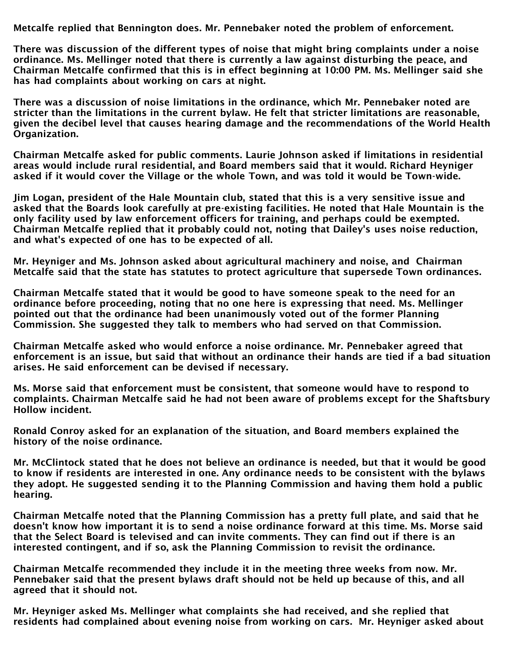Metcalfe replied that Bennington does. Mr. Pennebaker noted the problem of enforcement.

There was discussion of the different types of noise that might bring complaints under a noise ordinance. Ms. Mellinger noted that there is currently a law against disturbing the peace, and Chairman Metcalfe confirmed that this is in effect beginning at 10:00 PM. Ms. Mellinger said she has had complaints about working on cars at night.

There was a discussion of noise limitations in the ordinance, which Mr. Pennebaker noted are stricter than the limitations in the current bylaw. He felt that stricter limitations are reasonable, given the decibel level that causes hearing damage and the recommendations of the World Health Organization.

Chairman Metcalfe asked for public comments. Laurie Johnson asked if limitations in residential areas would include rural residential, and Board members said that it would. Richard Heyniger asked if it would cover the Village or the whole Town, and was told it would be Town-wide.

Jim Logan, president of the Hale Mountain club, stated that this is a very sensitive issue and asked that the Boards look carefully at pre-existing facilities. He noted that Hale Mountain is the only facility used by law enforcement officers for training, and perhaps could be exempted. Chairman Metcalfe replied that it probably could not, noting that Dailey's uses noise reduction, and what's expected of one has to be expected of all.

Mr. Heyniger and Ms. Johnson asked about agricultural machinery and noise, and Chairman Metcalfe said that the state has statutes to protect agriculture that supersede Town ordinances.

Chairman Metcalfe stated that it would be good to have someone speak to the need for an ordinance before proceeding, noting that no one here is expressing that need. Ms. Mellinger pointed out that the ordinance had been unanimously voted out of the former Planning Commission. She suggested they talk to members who had served on that Commission.

Chairman Metcalfe asked who would enforce a noise ordinance. Mr. Pennebaker agreed that enforcement is an issue, but said that without an ordinance their hands are tied if a bad situation arises. He said enforcement can be devised if necessary.

Ms. Morse said that enforcement must be consistent, that someone would have to respond to complaints. Chairman Metcalfe said he had not been aware of problems except for the Shaftsbury Hollow incident.

Ronald Conroy asked for an explanation of the situation, and Board members explained the history of the noise ordinance.

Mr. McClintock stated that he does not believe an ordinance is needed, but that it would be good to know if residents are interested in one. Any ordinance needs to be consistent with the bylaws they adopt. He suggested sending it to the Planning Commission and having them hold a public hearing.

Chairman Metcalfe noted that the Planning Commission has a pretty full plate, and said that he doesn't know how important it is to send a noise ordinance forward at this time. Ms. Morse said that the Select Board is televised and can invite comments. They can find out if there is an interested contingent, and if so, ask the Planning Commission to revisit the ordinance.

Chairman Metcalfe recommended they include it in the meeting three weeks from now. Mr. Pennebaker said that the present bylaws draft should not be held up because of this, and all agreed that it should not.

Mr. Heyniger asked Ms. Mellinger what complaints she had received, and she replied that residents had complained about evening noise from working on cars. Mr. Heyniger asked about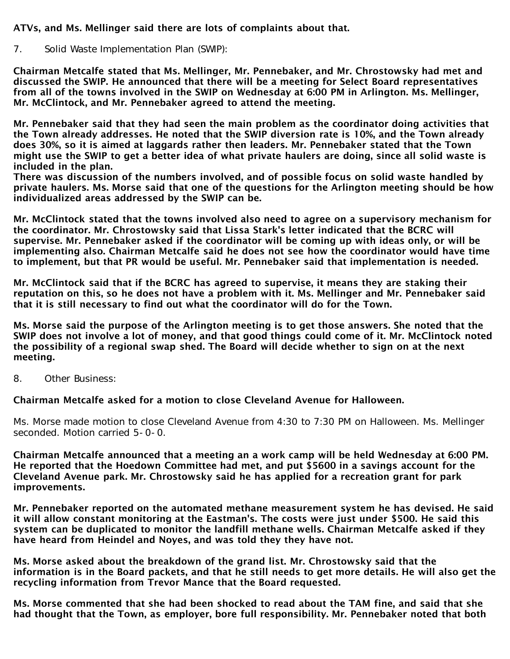# ATVs, and Ms. Mellinger said there are lots of complaints about that.

7. Solid Waste Implementation Plan (SWIP):

Chairman Metcalfe stated that Ms. Mellinger, Mr. Pennebaker, and Mr. Chrostowsky had met and discussed the SWIP. He announced that there will be a meeting for Select Board representatives from all of the towns involved in the SWIP on Wednesday at 6:00 PM in Arlington. Ms. Mellinger, Mr. McClintock, and Mr. Pennebaker agreed to attend the meeting.

Mr. Pennebaker said that they had seen the main problem as the coordinator doing activities that the Town already addresses. He noted that the SWIP diversion rate is 10%, and the Town already does 30%, so it is aimed at laggards rather then leaders. Mr. Pennebaker stated that the Town might use the SWIP to get a better idea of what private haulers are doing, since all solid waste is included in the plan.

There was discussion of the numbers involved, and of possible focus on solid waste handled by private haulers. Ms. Morse said that one of the questions for the Arlington meeting should be how individualized areas addressed by the SWIP can be.

Mr. McClintock stated that the towns involved also need to agree on a supervisory mechanism for the coordinator. Mr. Chrostowsky said that Lissa Stark's letter indicated that the BCRC will supervise. Mr. Pennebaker asked if the coordinator will be coming up with ideas only, or will be implementing also. Chairman Metcalfe said he does not see how the coordinator would have time to implement, but that PR would be useful. Mr. Pennebaker said that implementation is needed.

Mr. McClintock said that if the BCRC has agreed to supervise, it means they are staking their reputation on this, so he does not have a problem with it. Ms. Mellinger and Mr. Pennebaker said that it is still necessary to find out what the coordinator will do for the Town.

Ms. Morse said the purpose of the Arlington meeting is to get those answers. She noted that the SWIP does not involve a lot of money, and that good things could come of it. Mr. McClintock noted the possibility of a regional swap shed. The Board will decide whether to sign on at the next meeting.

8. Other Business:

Chairman Metcalfe asked for a motion to close Cleveland Avenue for Halloween.

Ms. Morse made motion to close Cleveland Avenue from 4:30 to 7:30 PM on Halloween. Ms. Mellinger seconded. Motion carried 5-0-0.

Chairman Metcalfe announced that a meeting an a work camp will be held Wednesday at 6:00 PM. He reported that the Hoedown Committee had met, and put \$5600 in a savings account for the Cleveland Avenue park. Mr. Chrostowsky said he has applied for a recreation grant for park improvements.

Mr. Pennebaker reported on the automated methane measurement system he has devised. He said it will allow constant monitoring at the Eastman's. The costs were just under \$500. He said this system can be duplicated to monitor the landfill methane wells. Chairman Metcalfe asked if they have heard from Heindel and Noyes, and was told they they have not.

Ms. Morse asked about the breakdown of the grand list. Mr. Chrostowsky said that the information is in the Board packets, and that he still needs to get more details. He will also get the recycling information from Trevor Mance that the Board requested.

Ms. Morse commented that she had been shocked to read about the TAM fine, and said that she had thought that the Town, as employer, bore full responsibility. Mr. Pennebaker noted that both